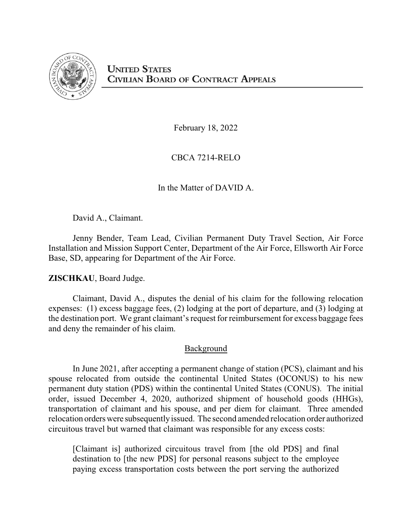

February 18, 2022

CBCA 7214-RELO

In the Matter of DAVID A.

David A., Claimant.

Jenny Bender, Team Lead, Civilian Permanent Duty Travel Section, Air Force Installation and Mission Support Center, Department of the Air Force, Ellsworth Air Force Base, SD, appearing for Department of the Air Force.

**ZISCHKAU**, Board Judge.

Claimant, David A., disputes the denial of his claim for the following relocation expenses: (1) excess baggage fees, (2) lodging at the port of departure, and (3) lodging at the destination port. We grant claimant's request for reimbursement for excess baggage fees and deny the remainder of his claim.

# Background

In June 2021, after accepting a permanent change of station (PCS), claimant and his spouse relocated from outside the continental United States (OCONUS) to his new permanent duty station (PDS) within the continental United States (CONUS). The initial order, issued December 4, 2020, authorized shipment of household goods (HHGs), transportation of claimant and his spouse, and per diem for claimant. Three amended relocation orderswere subsequentlyissued. The second amended relocation order authorized circuitous travel but warned that claimant was responsible for any excess costs:

[Claimant is] authorized circuitous travel from [the old PDS] and final destination to [the new PDS] for personal reasons subject to the employee paying excess transportation costs between the port serving the authorized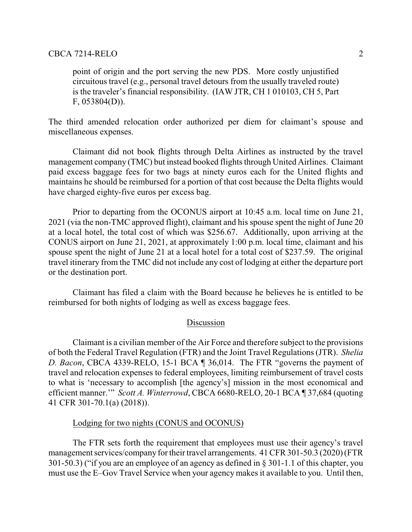point of origin and the port serving the new PDS. More costly unjustified circuitous travel (e.g., personal travel detours from the usually traveled route) is the traveler's financial responsibility. (IAW JTR, CH 1 010103, CH 5, Part F, 053804(D)).

The third amended relocation order authorized per diem for claimant's spouse and miscellaneous expenses.

Claimant did not book flights through Delta Airlines as instructed by the travel management company (TMC) but instead booked flights through United Airlines. Claimant paid excess baggage fees for two bags at ninety euros each for the United flights and maintains he should be reimbursed for a portion of that cost because the Delta flights would have charged eighty-five euros per excess bag.

Prior to departing from the OCONUS airport at 10:45 a.m. local time on June 21, 2021 (via the non-TMC approved flight), claimant and his spouse spent the night of June 20 at a local hotel, the total cost of which was \$256.67. Additionally, upon arriving at the CONUS airport on June 21, 2021, at approximately 1:00 p.m. local time, claimant and his spouse spent the night of June 21 at a local hotel for a total cost of \$237.59. The original travel itinerary from the TMC did not include any cost of lodging at either the departure port or the destination port.

Claimant has filed a claim with the Board because he believes he is entitled to be reimbursed for both nights of lodging as well as excess baggage fees.

### Discussion

Claimant is a civilian member of the Air Force and therefore subject to the provisions of both the Federal Travel Regulation (FTR) and the Joint Travel Regulations (JTR). *Shelia D. Bacon*, CBCA 4339-RELO, 15-1 BCA ¶ 36,014. The FTR "governs the payment of travel and relocation expenses to federal employees, limiting reimbursement of travel costs to what is 'necessary to accomplish [the agency's] mission in the most economical and efficient manner.'" *Scott A. Winterrowd*, CBCA 6680-RELO, 20-1 BCA ¶ 37,684 (quoting 41 CFR 301-70.1(a) (2018)).

## Lodging for two nights (CONUS and OCONUS)

The FTR sets forth the requirement that employees must use their agency's travel management services/company for their travel arrangements. 41 CFR 301-50.3 (2020) (FTR 301-50.3) ("if you are an employee of an agency as defined in § 301-1.1 of this chapter, you must use the E–Gov Travel Service when your agency makes it available to you. Until then,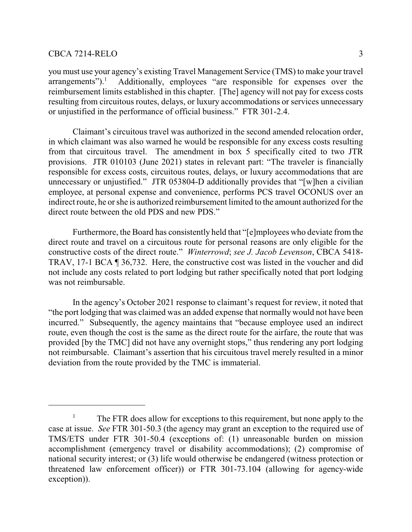you must use your agency's existing Travel Management Service (TMS) to make your travel arrangements").<sup>1</sup> Additionally, employees "are responsible for expenses over the reimbursement limits established in this chapter. [The] agency will not pay for excess costs resulting from circuitous routes, delays, or luxury accommodations or services unnecessary or unjustified in the performance of official business." FTR 301-2.4.

Claimant's circuitous travel was authorized in the second amended relocation order, in which claimant was also warned he would be responsible for any excess costs resulting from that circuitous travel. The amendment in box 5 specifically cited to two JTR provisions. JTR 010103 (June 2021) states in relevant part: "The traveler is financially responsible for excess costs, circuitous routes, delays, or luxury accommodations that are unnecessary or unjustified." JTR 053804-D additionally provides that "[w]hen a civilian employee, at personal expense and convenience, performs PCS travel OCONUS over an indirect route, he or she is authorized reimbursement limited to the amount authorized for the direct route between the old PDS and new PDS."

Furthermore, the Board has consistently held that "[e]mployees who deviate from the direct route and travel on a circuitous route for personal reasons are only eligible for the constructive costs of the direct route." *Winterrowd*; *see J. Jacob Levenson*, CBCA 5418- TRAV, 17-1 BCA ¶ 36,732. Here, the constructive cost was listed in the voucher and did not include any costs related to port lodging but rather specifically noted that port lodging was not reimbursable.

In the agency's October 2021 response to claimant's request for review, it noted that "the port lodging that was claimed was an added expense that normally would not have been incurred." Subsequently, the agency maintains that "because employee used an indirect route, even though the cost is the same as the direct route for the airfare, the route that was provided [by the TMC] did not have any overnight stops," thus rendering any port lodging not reimbursable. Claimant's assertion that his circuitous travel merely resulted in a minor deviation from the route provided by the TMC is immaterial.

<sup>&</sup>lt;sup>1</sup> The FTR does allow for exceptions to this requirement, but none apply to the case at issue. *See* FTR 301-50.3 (the agency may grant an exception to the required use of TMS/ETS under FTR 301-50.4 (exceptions of: (1) unreasonable burden on mission accomplishment (emergency travel or disability accommodations); (2) compromise of national security interest; or (3) life would otherwise be endangered (witness protection or threatened law enforcement officer)) or FTR 301-73.104 (allowing for agency-wide exception)).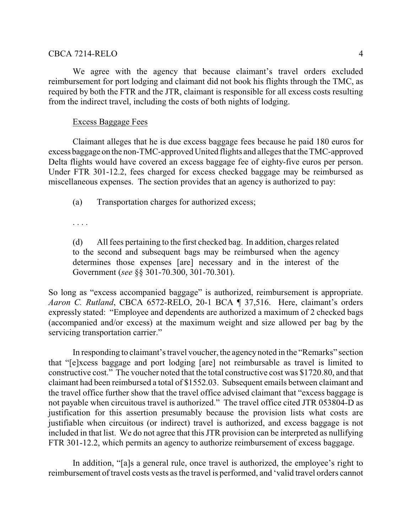### CBCA 7214-RELO 4

We agree with the agency that because claimant's travel orders excluded reimbursement for port lodging and claimant did not book his flights through the TMC, as required by both the FTR and the JTR, claimant is responsible for all excess costs resulting from the indirect travel, including the costs of both nights of lodging.

## Excess Baggage Fees

Claimant alleges that he is due excess baggage fees because he paid 180 euros for excess baggage on the non-TMC-approved United flights and alleges that the TMC-approved Delta flights would have covered an excess baggage fee of eighty-five euros per person. Under FTR 301-12.2, fees charged for excess checked baggage may be reimbursed as miscellaneous expenses. The section provides that an agency is authorized to pay:

(a) Transportation charges for authorized excess;

. . . .

(d) All fees pertaining to the first checked bag. In addition, charges related to the second and subsequent bags may be reimbursed when the agency determines those expenses [are] necessary and in the interest of the Government (*see* §§ 301-70.300, 301-70.301).

So long as "excess accompanied baggage" is authorized, reimbursement is appropriate. *Aaron C. Rutland*, CBCA 6572-RELO, 20-1 BCA ¶ 37,516. Here, claimant's orders expressly stated: "Employee and dependents are authorized a maximum of 2 checked bags (accompanied and/or excess) at the maximum weight and size allowed per bag by the servicing transportation carrier."

In responding to claimant's travel voucher, the agencynoted in the "Remarks" section that "[e]xcess baggage and port lodging [are] not reimbursable as travel is limited to constructive cost." The voucher noted that the total constructive cost was \$1720.80, and that claimant had been reimbursed a total of \$1552.03. Subsequent emails between claimant and the travel office further show that the travel office advised claimant that "excess baggage is not payable when circuitous travel is authorized." The travel office cited JTR 053804-D as justification for this assertion presumably because the provision lists what costs are justifiable when circuitous (or indirect) travel is authorized, and excess baggage is not included in that list. We do not agree that this JTR provision can be interpreted as nullifying FTR 301-12.2, which permits an agency to authorize reimbursement of excess baggage.

In addition, "[a]s a general rule, once travel is authorized, the employee's right to reimbursement of travel costs vests as the travel is performed, and 'valid travel orders cannot